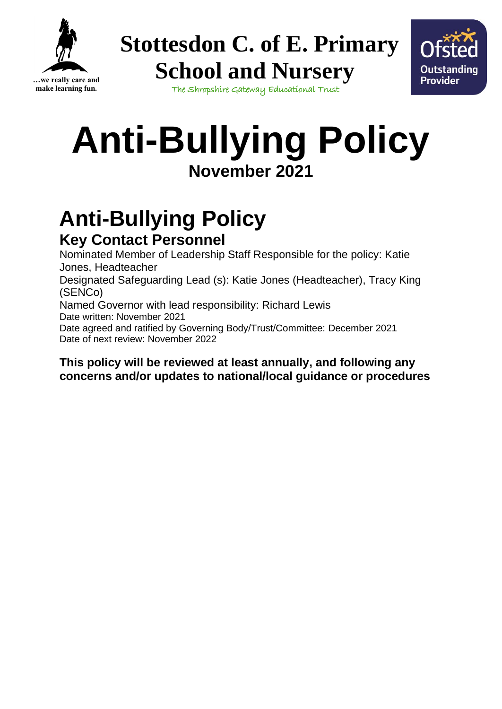



The Shropshire Gateway Educational Trust

# **Anti-Bullying Policy November 2021**

## **Anti-Bullying Policy Key Contact Personnel**

Nominated Member of Leadership Staff Responsible for the policy: Katie Jones, Headteacher

Designated Safeguarding Lead (s): Katie Jones (Headteacher), Tracy King (SENCo)

Named Governor with lead responsibility: Richard Lewis Date written: November 2021

Date agreed and ratified by Governing Body/Trust/Committee: December 2021 Date of next review: November 2022

#### **This policy will be reviewed at least annually, and following any concerns and/or updates to national/local guidance or procedures**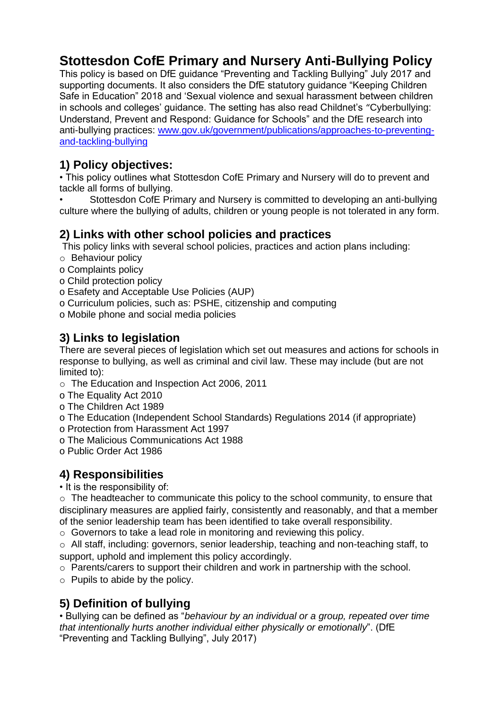## **Stottesdon CofE Primary and Nursery Anti-Bullying Policy**

This policy is based on DfE guidance "Preventing and Tackling Bullying" July 2017 and supporting documents. It also considers the DfE statutory guidance "Keeping Children Safe in Education" 2018 and 'Sexual violence and sexual harassment between children in schools and colleges' guidance. The setting has also read Childnet's "Cyberbullying: Understand, Prevent and Respond: Guidance for Schools" and the DfE research into anti-bullying practices: [www.gov.uk/government/publications/approaches-to-preventing](http://www.gov.uk/government/publications/approaches-to-preventing-and-tackling-bullying)[and-tackling-bullying](http://www.gov.uk/government/publications/approaches-to-preventing-and-tackling-bullying)

#### **1) Policy objectives:**

• This policy outlines what Stottesdon CofE Primary and Nursery will do to prevent and tackle all forms of bullying.

• Stottesdon CofE Primary and Nursery is committed to developing an anti-bullying culture where the bullying of adults, children or young people is not tolerated in any form.

#### **2) Links with other school policies and practices**

This policy links with several school policies, practices and action plans including:

- o Behaviour policy
- o Complaints policy
- o Child protection policy
- o Esafety and Acceptable Use Policies (AUP)
- o Curriculum policies, such as: PSHE, citizenship and computing
- o Mobile phone and social media policies

### **3) Links to legislation**

There are several pieces of legislation which set out measures and actions for schools in response to bullying, as well as criminal and civil law. These may include (but are not limited to):

- o The Education and Inspection Act 2006, 2011
- o The Equality Act 2010
- o The Children Act 1989
- o The Education (Independent School Standards) Regulations 2014 (if appropriate)
- o Protection from Harassment Act 1997
- o The Malicious Communications Act 1988
- o Public Order Act 1986

#### **4) Responsibilities**

• It is the responsibility of:

o The headteacher to communicate this policy to the school community, to ensure that disciplinary measures are applied fairly, consistently and reasonably, and that a member of the senior leadership team has been identified to take overall responsibility.

o Governors to take a lead role in monitoring and reviewing this policy.

 $\circ$  All staff, including: governors, senior leadership, teaching and non-teaching staff, to support, uphold and implement this policy accordingly.

o Parents/carers to support their children and work in partnership with the school.

 $\circ$  Pupils to abide by the policy.

### **5) Definition of bullying**

• Bullying can be defined as "*behaviour by an individual or a group, repeated over time that intentionally hurts another individual either physically or emotionally*". (DfE "Preventing and Tackling Bullying", July 2017)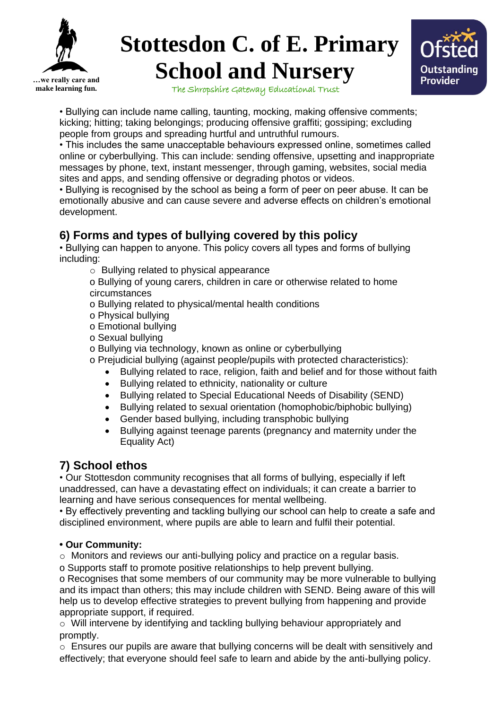



The Shropshire Gateway Educational Trust

• Bullying can include name calling, taunting, mocking, making offensive comments; kicking; hitting; taking belongings; producing offensive graffiti; gossiping; excluding people from groups and spreading hurtful and untruthful rumours.

• This includes the same unacceptable behaviours expressed online, sometimes called online or cyberbullying. This can include: sending offensive, upsetting and inappropriate messages by phone, text, instant messenger, through gaming, websites, social media sites and apps, and sending offensive or degrading photos or videos.

• Bullying is recognised by the school as being a form of peer on peer abuse. It can be emotionally abusive and can cause severe and adverse effects on children's emotional development.

#### **6) Forms and types of bullying covered by this policy**

• Bullying can happen to anyone. This policy covers all types and forms of bullying including:

o Bullying related to physical appearance

o Bullying of young carers, children in care or otherwise related to home circumstances

- o Bullying related to physical/mental health conditions
- o Physical bullying
- o Emotional bullying
- o Sexual bullying
- o Bullying via technology, known as online or cyberbullying

o Prejudicial bullying (against people/pupils with protected characteristics):

- Bullying related to race, religion, faith and belief and for those without faith
- Bullying related to ethnicity, nationality or culture
- Bullying related to Special Educational Needs of Disability (SEND)
- Bullying related to sexual orientation (homophobic/biphobic bullying)
- Gender based bullying, including transphobic bullying
- Bullying against teenage parents (pregnancy and maternity under the Equality Act)

#### **7) School ethos**

• Our Stottesdon community recognises that all forms of bullying, especially if left unaddressed, can have a devastating effect on individuals; it can create a barrier to learning and have serious consequences for mental wellbeing.

• By effectively preventing and tackling bullying our school can help to create a safe and disciplined environment, where pupils are able to learn and fulfil their potential.

#### **• Our Community:**

 $\circ$  Monitors and reviews our anti-bullying policy and practice on a regular basis.

o Supports staff to promote positive relationships to help prevent bullying.

o Recognises that some members of our community may be more vulnerable to bullying and its impact than others; this may include children with SEND. Being aware of this will help us to develop effective strategies to prevent bullying from happening and provide appropriate support, if required.

o Will intervene by identifying and tackling bullying behaviour appropriately and promptly.

o Ensures our pupils are aware that bullying concerns will be dealt with sensitively and effectively; that everyone should feel safe to learn and abide by the anti-bullying policy.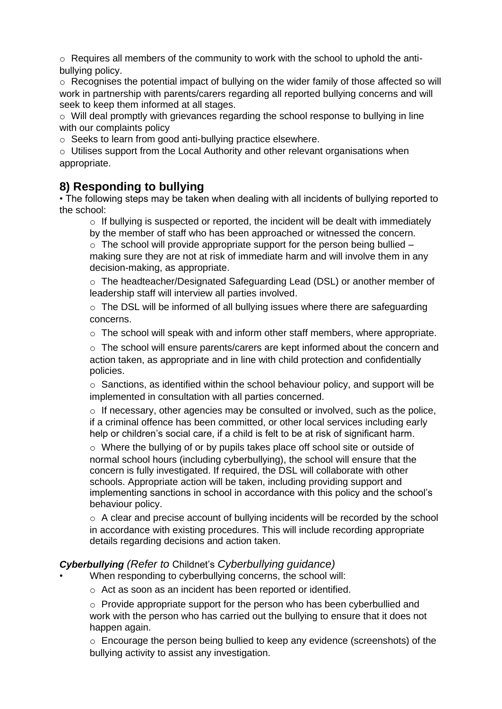$\circ$  Requires all members of the community to work with the school to uphold the antibullying policy.

o Recognises the potential impact of bullying on the wider family of those affected so will work in partnership with parents/carers regarding all reported bullying concerns and will seek to keep them informed at all stages.

o Will deal promptly with grievances regarding the school response to bullying in line with our complaints policy

o Seeks to learn from good anti-bullying practice elsewhere.

 $\circ$  Utilises support from the Local Authority and other relevant organisations when appropriate.

#### **8) Responding to bullying**

• The following steps may be taken when dealing with all incidents of bullying reported to the school:

 $\circ$  If bullying is suspected or reported, the incident will be dealt with immediately by the member of staff who has been approached or witnessed the concern.

 $\circ$  The school will provide appropriate support for the person being bullied – making sure they are not at risk of immediate harm and will involve them in any decision-making, as appropriate.

o The headteacher/Designated Safeguarding Lead (DSL) or another member of leadership staff will interview all parties involved.

o The DSL will be informed of all bullying issues where there are safeguarding concerns.

 $\circ$  The school will speak with and inform other staff members, where appropriate.

 $\circ$  The school will ensure parents/carers are kept informed about the concern and action taken, as appropriate and in line with child protection and confidentially policies.

 $\circ$  Sanctions, as identified within the school behaviour policy, and support will be implemented in consultation with all parties concerned.

 $\circ$  If necessary, other agencies may be consulted or involved, such as the police, if a criminal offence has been committed, or other local services including early help or children's social care, if a child is felt to be at risk of significant harm.

o Where the bullying of or by pupils takes place off school site or outside of normal school hours (including cyberbullying), the school will ensure that the concern is fully investigated. If required, the DSL will collaborate with other schools. Appropriate action will be taken, including providing support and implementing sanctions in school in accordance with this policy and the school's behaviour policy.

o A clear and precise account of bullying incidents will be recorded by the school in accordance with existing procedures. This will include recording appropriate details regarding decisions and action taken.

#### *Cyberbullying (Refer to* Childnet's *Cyberbullying guidance)*

When responding to cyberbullying concerns, the school will:

o Act as soon as an incident has been reported or identified.

o Provide appropriate support for the person who has been cyberbullied and work with the person who has carried out the bullying to ensure that it does not happen again.

o Encourage the person being bullied to keep any evidence (screenshots) of the bullying activity to assist any investigation.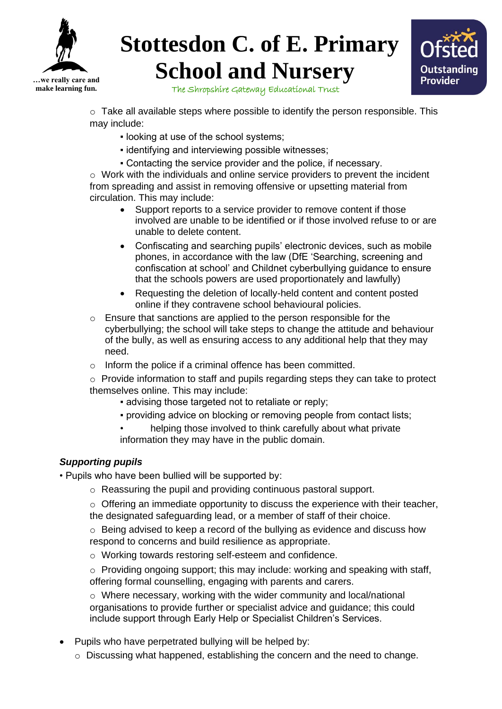



The Shropshire Gateway Educational Trust

 $\circ$  Take all available steps where possible to identify the person responsible. This may include:

- looking at use of the school systems;
- **.** identifying and interviewing possible witnesses;
- Contacting the service provider and the police, if necessary.

 $\circ$  Work with the individuals and online service providers to prevent the incident from spreading and assist in removing offensive or upsetting material from circulation. This may include:

- Support reports to a service provider to remove content if those involved are unable to be identified or if those involved refuse to or are unable to delete content.
- Confiscating and searching pupils' electronic devices, such as mobile phones, in accordance with the law (DfE 'Searching, screening and confiscation at school' and Childnet cyberbullying guidance to ensure that the schools powers are used proportionately and lawfully)
- Requesting the deletion of locally-held content and content posted online if they contravene school behavioural policies.
- $\circ$  Ensure that sanctions are applied to the person responsible for the cyberbullying; the school will take steps to change the attitude and behaviour of the bully, as well as ensuring access to any additional help that they may need.
- o Inform the police if a criminal offence has been committed.

o Provide information to staff and pupils regarding steps they can take to protect themselves online. This may include:

- advising those targeted not to retaliate or reply;
- providing advice on blocking or removing people from contact lists;
- helping those involved to think carefully about what private information they may have in the public domain.

#### *Supporting pupils*

- Pupils who have been bullied will be supported by:
	- o Reassuring the pupil and providing continuous pastoral support.

 $\circ$  Offering an immediate opportunity to discuss the experience with their teacher, the designated safeguarding lead, or a member of staff of their choice.

 $\circ$  Being advised to keep a record of the bullying as evidence and discuss how respond to concerns and build resilience as appropriate.

- o Working towards restoring self-esteem and confidence.
- $\circ$  Providing ongoing support; this may include: working and speaking with staff, offering formal counselling, engaging with parents and carers.

o Where necessary, working with the wider community and local/national organisations to provide further or specialist advice and guidance; this could include support through Early Help or Specialist Children's Services.

- Pupils who have perpetrated bullying will be helped by:
	- o Discussing what happened, establishing the concern and the need to change.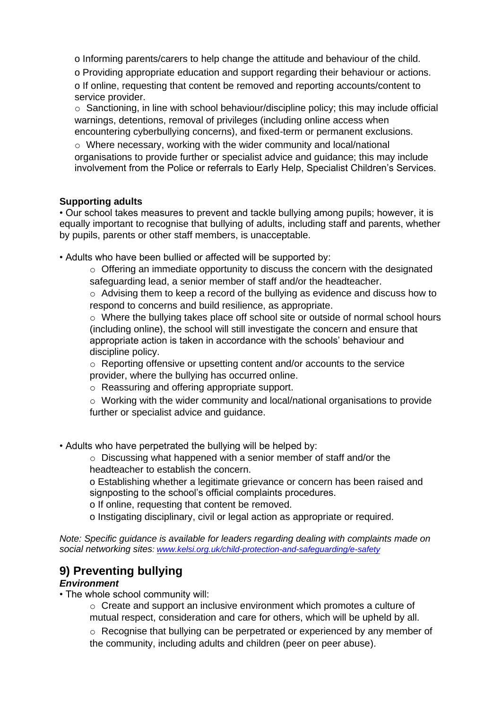o Informing parents/carers to help change the attitude and behaviour of the child.

o Providing appropriate education and support regarding their behaviour or actions.

o If online, requesting that content be removed and reporting accounts/content to service provider.

o Sanctioning, in line with school behaviour/discipline policy; this may include official warnings, detentions, removal of privileges (including online access when encountering cyberbullying concerns), and fixed-term or permanent exclusions.

o Where necessary, working with the wider community and local/national organisations to provide further or specialist advice and guidance; this may include involvement from the Police or referrals to Early Help, Specialist Children's Services.

#### **Supporting adults**

• Our school takes measures to prevent and tackle bullying among pupils; however, it is equally important to recognise that bullying of adults, including staff and parents, whether by pupils, parents or other staff members, is unacceptable.

• Adults who have been bullied or affected will be supported by:

 $\circ$  Offering an immediate opportunity to discuss the concern with the designated safeguarding lead, a senior member of staff and/or the headteacher.

 $\circ$  Advising them to keep a record of the bullying as evidence and discuss how to respond to concerns and build resilience, as appropriate.

o Where the bullying takes place off school site or outside of normal school hours (including online), the school will still investigate the concern and ensure that appropriate action is taken in accordance with the schools' behaviour and discipline policy.

o Reporting offensive or upsetting content and/or accounts to the service provider, where the bullying has occurred online.

o Reassuring and offering appropriate support.

o Working with the wider community and local/national organisations to provide further or specialist advice and guidance.

• Adults who have perpetrated the bullying will be helped by:

o Discussing what happened with a senior member of staff and/or the headteacher to establish the concern.

o Establishing whether a legitimate grievance or concern has been raised and signposting to the school's official complaints procedures.

o If online, requesting that content be removed.

o Instigating disciplinary, civil or legal action as appropriate or required.

*Note: Specific guidance is available for leaders regarding dealing with complaints made on social networking sites: [www.kelsi.org.uk/child-protection-and-safeguarding/e-safety](http://www.kelsi.org.uk/child-protection-and-safeguarding/e-safety)*

### **9) Preventing bullying**

#### *Environment*

• The whole school community will:

o Create and support an inclusive environment which promotes a culture of mutual respect, consideration and care for others, which will be upheld by all.

o Recognise that bullying can be perpetrated or experienced by any member of the community, including adults and children (peer on peer abuse).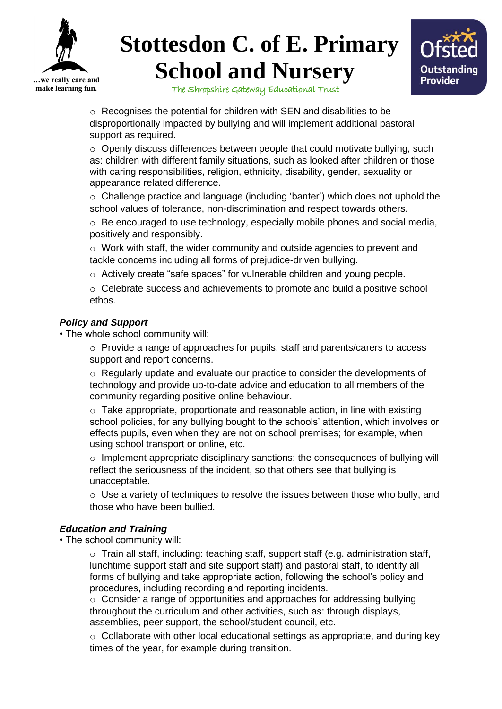



The Shropshire Gateway Educational Trust

o Recognises the potential for children with SEN and disabilities to be disproportionally impacted by bullying and will implement additional pastoral support as required.

 $\circ$  Openly discuss differences between people that could motivate bullying, such as: children with different family situations, such as looked after children or those with caring responsibilities, religion, ethnicity, disability, gender, sexuality or appearance related difference.

o Challenge practice and language (including 'banter') which does not uphold the school values of tolerance, non-discrimination and respect towards others.

 $\circ$  Be encouraged to use technology, especially mobile phones and social media, positively and responsibly.

o Work with staff, the wider community and outside agencies to prevent and tackle concerns including all forms of prejudice-driven bullying.

o Actively create "safe spaces" for vulnerable children and young people.

o Celebrate success and achievements to promote and build a positive school ethos.

#### *Policy and Support*

• The whole school community will:

 $\circ$  Provide a range of approaches for pupils, staff and parents/carers to access support and report concerns.

o Regularly update and evaluate our practice to consider the developments of technology and provide up-to-date advice and education to all members of the community regarding positive online behaviour.

 $\circ$  Take appropriate, proportionate and reasonable action, in line with existing school policies, for any bullying bought to the schools' attention, which involves or effects pupils, even when they are not on school premises; for example, when using school transport or online, etc.

 $\circ$  Implement appropriate disciplinary sanctions; the consequences of bullying will reflect the seriousness of the incident, so that others see that bullying is unacceptable.

 $\circ$  Use a variety of techniques to resolve the issues between those who bully, and those who have been bullied.

#### *Education and Training*

• The school community will:

o Train all staff, including: teaching staff, support staff (e.g. administration staff, lunchtime support staff and site support staff) and pastoral staff, to identify all forms of bullying and take appropriate action, following the school's policy and procedures, including recording and reporting incidents.

o Consider a range of opportunities and approaches for addressing bullying throughout the curriculum and other activities, such as: through displays, assemblies, peer support, the school/student council, etc.

o Collaborate with other local educational settings as appropriate, and during key times of the year, for example during transition.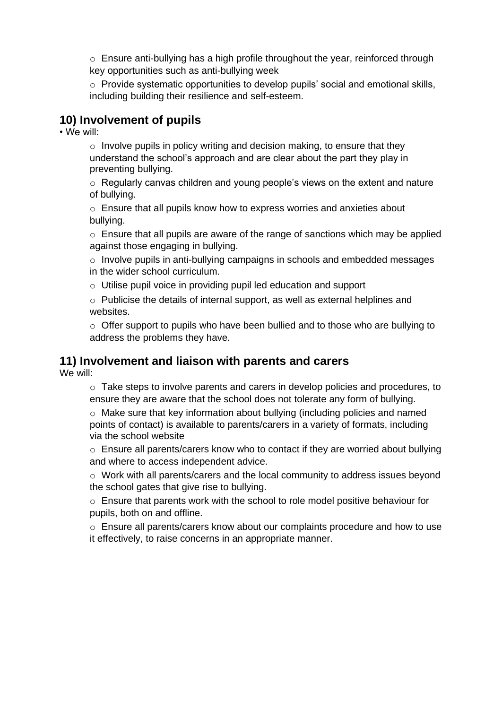$\circ$  Ensure anti-bullying has a high profile throughout the year, reinforced through key opportunities such as anti-bullying week

o Provide systematic opportunities to develop pupils' social and emotional skills, including building their resilience and self-esteem.

#### **10) Involvement of pupils**

• We will:

 $\circ$  Involve pupils in policy writing and decision making, to ensure that they understand the school's approach and are clear about the part they play in preventing bullying.

o Regularly canvas children and young people's views on the extent and nature of bullying.

o Ensure that all pupils know how to express worries and anxieties about bullying.

 $\circ$  Ensure that all pupils are aware of the range of sanctions which may be applied against those engaging in bullying.

o Involve pupils in anti-bullying campaigns in schools and embedded messages in the wider school curriculum.

o Utilise pupil voice in providing pupil led education and support

o Publicise the details of internal support, as well as external helplines and websites.

o Offer support to pupils who have been bullied and to those who are bullying to address the problems they have.

#### **11) Involvement and liaison with parents and carers**

We will:

 $\circ$  Take steps to involve parents and carers in develop policies and procedures, to ensure they are aware that the school does not tolerate any form of bullying.

o Make sure that key information about bullying (including policies and named points of contact) is available to parents/carers in a variety of formats, including via the school website

o Ensure all parents/carers know who to contact if they are worried about bullying and where to access independent advice.

o Work with all parents/carers and the local community to address issues beyond the school gates that give rise to bullying.

o Ensure that parents work with the school to role model positive behaviour for pupils, both on and offline.

o Ensure all parents/carers know about our complaints procedure and how to use it effectively, to raise concerns in an appropriate manner.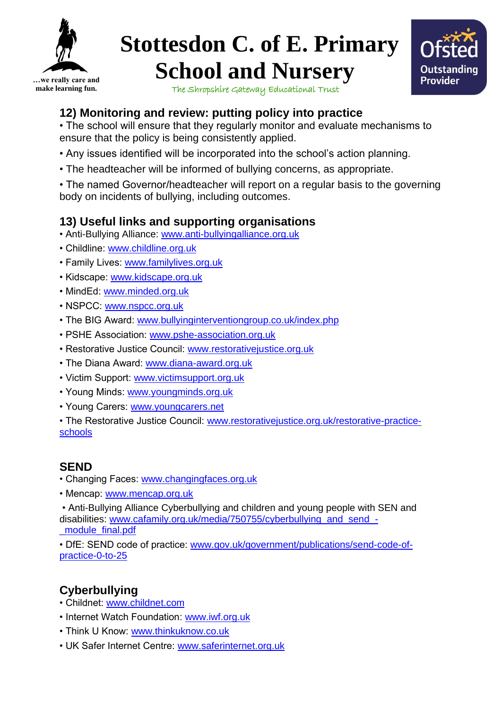



The Shropshire Gateway Educational Trust

## **12) Monitoring and review: putting policy into practice**

• The school will ensure that they regularly monitor and evaluate mechanisms to ensure that the policy is being consistently applied.

- Any issues identified will be incorporated into the school's action planning.
- The headteacher will be informed of bullying concerns, as appropriate.

• The named Governor/headteacher will report on a regular basis to the governing body on incidents of bullying, including outcomes.

## **13) Useful links and supporting organisations**

- Anti-Bullying Alliance: [www.anti-bullyingalliance.org.uk](http://www.anti-bullyingalliance.org.uk/)
- Childline: [www.childline.org.uk](http://www.childline.org.uk/)
- Family Lives: [www.familylives.org.uk](http://www.familylives.org.uk/)
- Kidscape: [www.kidscape.org.uk](http://www.kidscape.org.uk/)
- MindEd: [www.minded.org.uk](http://www.minded.org.uk/)
- NSPCC: [www.nspcc.org.uk](http://www.nspcc.org.uk/)
- The BIG Award: [www.bullyinginterventiongroup.co.uk/index.php](http://www.bullyinginterventiongroup.co.uk/index.php)
- PSHE Association: [www.pshe-association.org.uk](http://www.pshe-association.org.uk/)
- Restorative Justice Council: [www.restorativejustice.org.uk](http://www.restorativejustice.org.uk/)
- The Diana Award: [www.diana-award.org.uk](http://www.diana-award.org.uk/)
- Victim Support: [www.victimsupport.org.uk](http://www.victimsupport.org.uk/)
- Young Minds: [www.youngminds.org.uk](http://www.youngminds.org.uk/)
- Young Carers: [www.youngcarers.net](http://www.youngcarers.net/)

• The Restorative Justice Council: [www.restorativejustice.org.uk/restorative-practice](http://www.restorativejustice.org.uk/restorative-practice-schools)[schools](http://www.restorativejustice.org.uk/restorative-practice-schools)

### **SEND**

- Changing Faces: [www.changingfaces.org.uk](http://www.changingfaces.org.uk/)
- Mencap: [www.mencap.org.uk](http://www.mencap.org.uk/)

• Anti-Bullying Alliance Cyberbullying and children and young people with SEN and disabilities: [www.cafamily.org.uk/media/750755/cyberbullying\\_and\\_send\\_-](http://www.cafamily.org.uk/media/750755/cyberbullying_and_send_-_module_final.pdf) [\\_module\\_final.pdf](http://www.cafamily.org.uk/media/750755/cyberbullying_and_send_-_module_final.pdf)

• DfE: SEND code of practice: [www.gov.uk/government/publications/send-code-of](http://www.gov.uk/government/publications/send-code-of-practice-0-to-25)[practice-0-to-25](http://www.gov.uk/government/publications/send-code-of-practice-0-to-25)

## **Cyberbullying**

- Childnet: [www.childnet.com](http://www.childnet.com/)
- Internet Watch Foundation: [www.iwf.org.uk](http://www.iwf.org.uk/)
- Think U Know: [www.thinkuknow.co.uk](http://www.thinkuknow.co.uk/)
- UK Safer Internet Centre: [www.saferinternet.org.uk](http://www.saferinternet.org.uk/)